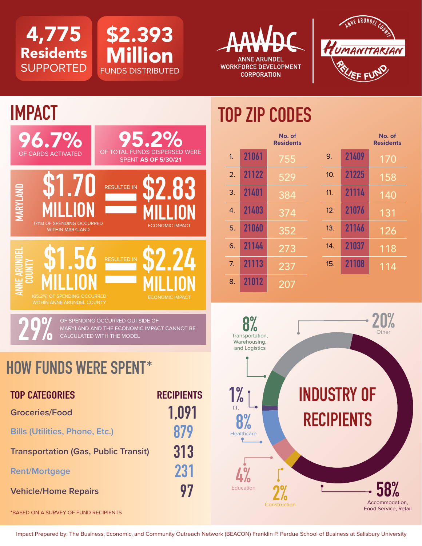4,775 Residents **SUPPORTED** 









# **TOP ZIP CODES**

|                  |       | No. of<br><b>Residents</b> |     |       | No. of<br><b>Residents</b> |
|------------------|-------|----------------------------|-----|-------|----------------------------|
| 1.               | 21061 | 755                        | 9.  | 21409 | 170                        |
| $\overline{2}$ . | 21122 | 529                        | 10. | 21225 | 158                        |
| 3.               | 21401 | 384                        | 11. | 21114 | 140                        |
| 4.               | 21403 | 374                        | 12. | 21076 | 131                        |
| 5.               | 21060 | 352                        | 13. | 21146 | 126                        |
| 6.               | 21144 | 273                        | 14. | 21037 | 118                        |
| 7.               | 21113 | 237                        | 15. | 21108 | 114                        |
| 8.               | 21012 | 207                        |     |       |                            |



## **HOW FUNDS WERE SPENT\***

| <b>TOP CATEGORIES</b>                       | <b>RECIPIENTS</b> |
|---------------------------------------------|-------------------|
| <b>Groceries/Food</b>                       | 1.091             |
| <b>Bills (Utilities, Phone, Etc.)</b>       | 879               |
| <b>Transportation (Gas, Public Transit)</b> | 313               |
| <b>Rent/Mortgage</b>                        | 231               |
| <b>Vehicle/Home Repairs</b>                 | 97                |

\*BASED ON A SURVEY OF FUND RECIPIENTS